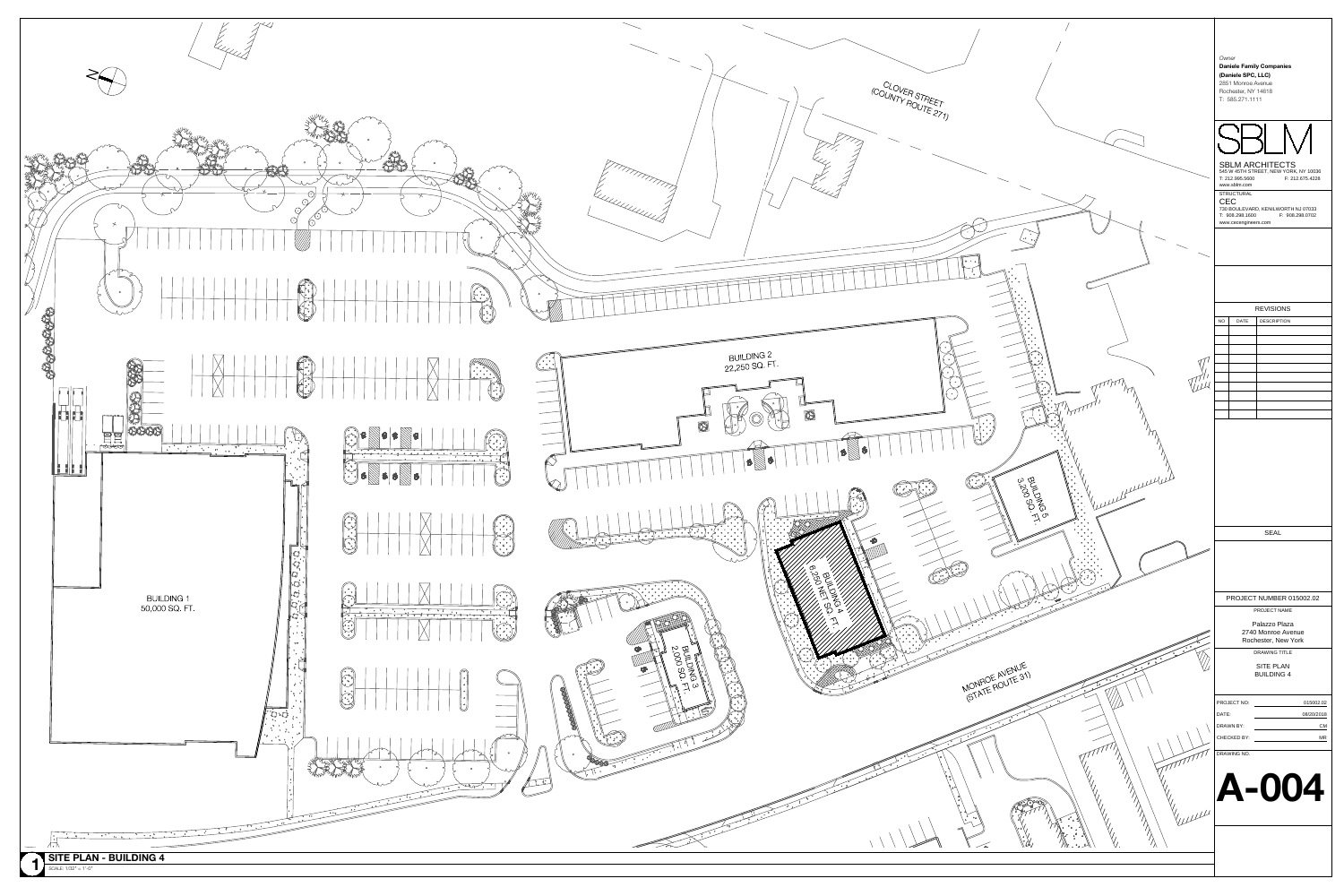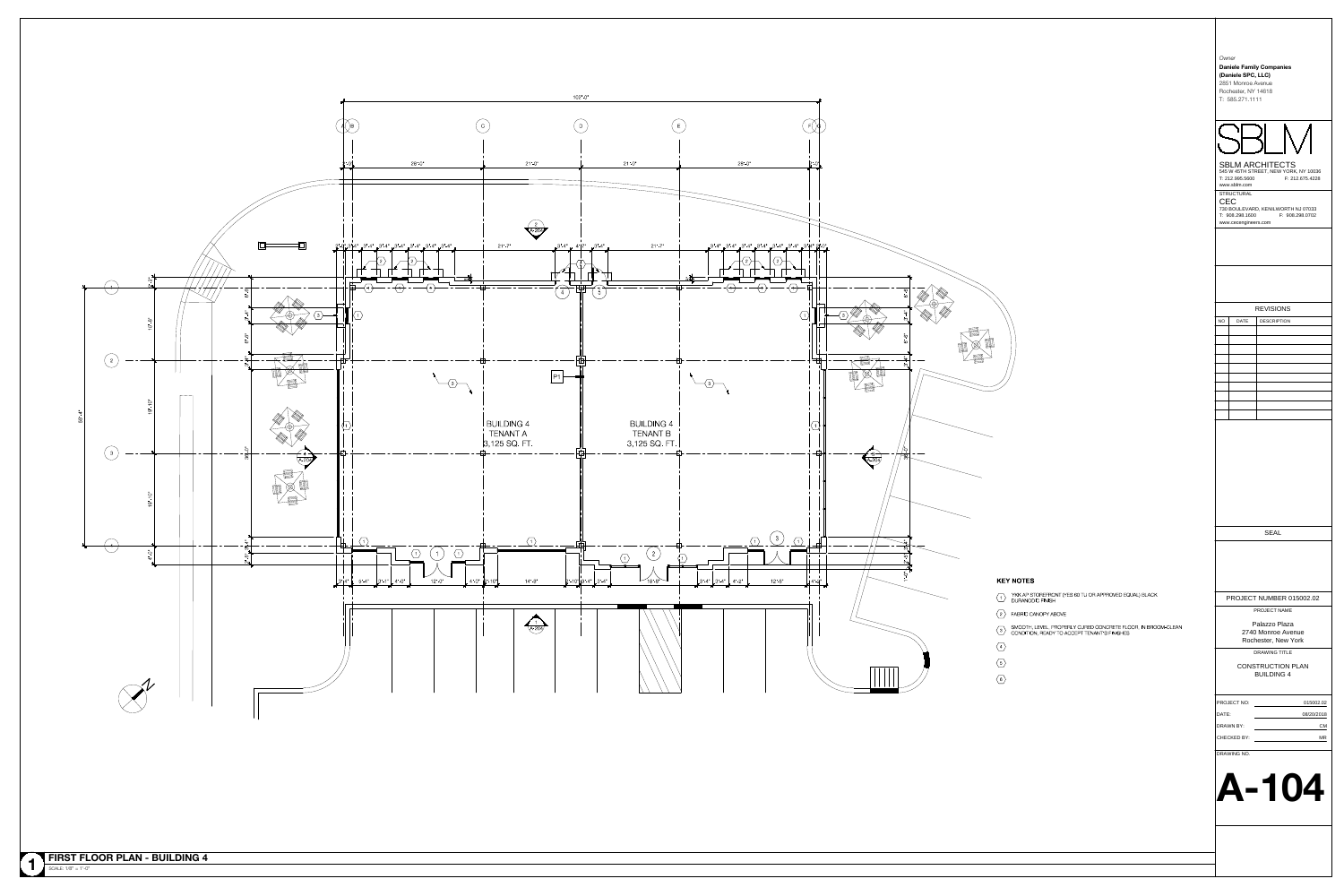| Owner     |                                                              |                                                                                    |
|-----------|--------------------------------------------------------------|------------------------------------------------------------------------------------|
|           | (Daniele SPC, LLC)                                           | <b>Daniele Family Companies</b>                                                    |
|           | 2851 Monroe Avenue<br>Rochester, NY 14618<br>T: 585.271.1111 |                                                                                    |
|           |                                                              |                                                                                    |
|           |                                                              |                                                                                    |
|           |                                                              |                                                                                    |
|           | T: 212.995.5600                                              | <b>SBLM ARCHITECTS</b><br>545 W 45TH STREET, NEW YORK, NY 10036<br>F: 212.675.4228 |
|           | www.sblm.com<br><b>STRUCTURAL</b>                            |                                                                                    |
| CEC       | T: 908.298.1600                                              | 730 BOULEVARD, KENILWORTH NJ 07033<br>F: 908.298.0702                              |
|           | www.cecengineers.com                                         |                                                                                    |
|           |                                                              |                                                                                    |
|           |                                                              |                                                                                    |
|           |                                                              |                                                                                    |
|           |                                                              | <b>REVISIONS</b>                                                                   |
| ΝO        | <b>DATE</b>                                                  | <b>DESCRIPTION</b>                                                                 |
|           |                                                              |                                                                                    |
|           |                                                              |                                                                                    |
|           |                                                              |                                                                                    |
|           |                                                              |                                                                                    |
|           |                                                              |                                                                                    |
|           |                                                              |                                                                                    |
|           |                                                              |                                                                                    |
|           |                                                              |                                                                                    |
|           |                                                              |                                                                                    |
|           |                                                              |                                                                                    |
|           |                                                              |                                                                                    |
|           |                                                              |                                                                                    |
|           |                                                              |                                                                                    |
|           |                                                              | <b>SEAL</b>                                                                        |
|           |                                                              |                                                                                    |
|           |                                                              |                                                                                    |
|           |                                                              |                                                                                    |
|           |                                                              |                                                                                    |
|           |                                                              | <b>PROJECT NAME</b>                                                                |
|           |                                                              | Palazzo Plaza                                                                      |
|           |                                                              | 2740 Monroe Avenue<br>Rochester, New York                                          |
|           |                                                              | <b>DRAWING TITLE</b>                                                               |
|           |                                                              | <b>CONSTRUCTION PLAN</b>                                                           |
|           |                                                              | <b>BUILDING 4</b>                                                                  |
|           | PROJECT NO:                                                  |                                                                                    |
| DATE:     |                                                              | PROJECT NUMBER 015002.02<br>015002.02<br>08/20/2018                                |
|           |                                                              | <b>CM</b>                                                                          |
| DRAWN BY: | CHECKED BY:                                                  | ΜR                                                                                 |
|           | DRAWING NO.                                                  |                                                                                    |

圖

全县

## **KEY NOTES**

- **NU I ES**<br>YKK AP STOREFRONT (YES 60 TU OR APPROVED EQUAL) BLACK T<br>The YKK AP STOREFRONT (Y<br>DURANODIC FINISH
- 2 FABRIC CANOPY ABOVE
- FABRIC CANOPY ABOVE<br>SMOOTH, LEVEL, PROPERLY CURED CONCRETE FLOOR, IN BROOM-CLEAN SMOOTH, LEVEL, PROPERLY CURED CONCRETE FLOOR, IN BROG<br>CONDITION, READY TO ACCEPT TENANT'S FINISHES
- $\left\langle 4 \right\rangle$
- $\left\langle \frac{5}{2} \right\rangle$
- 
- $\left\langle \begin{array}{c} 6 \end{array} \right\rangle$

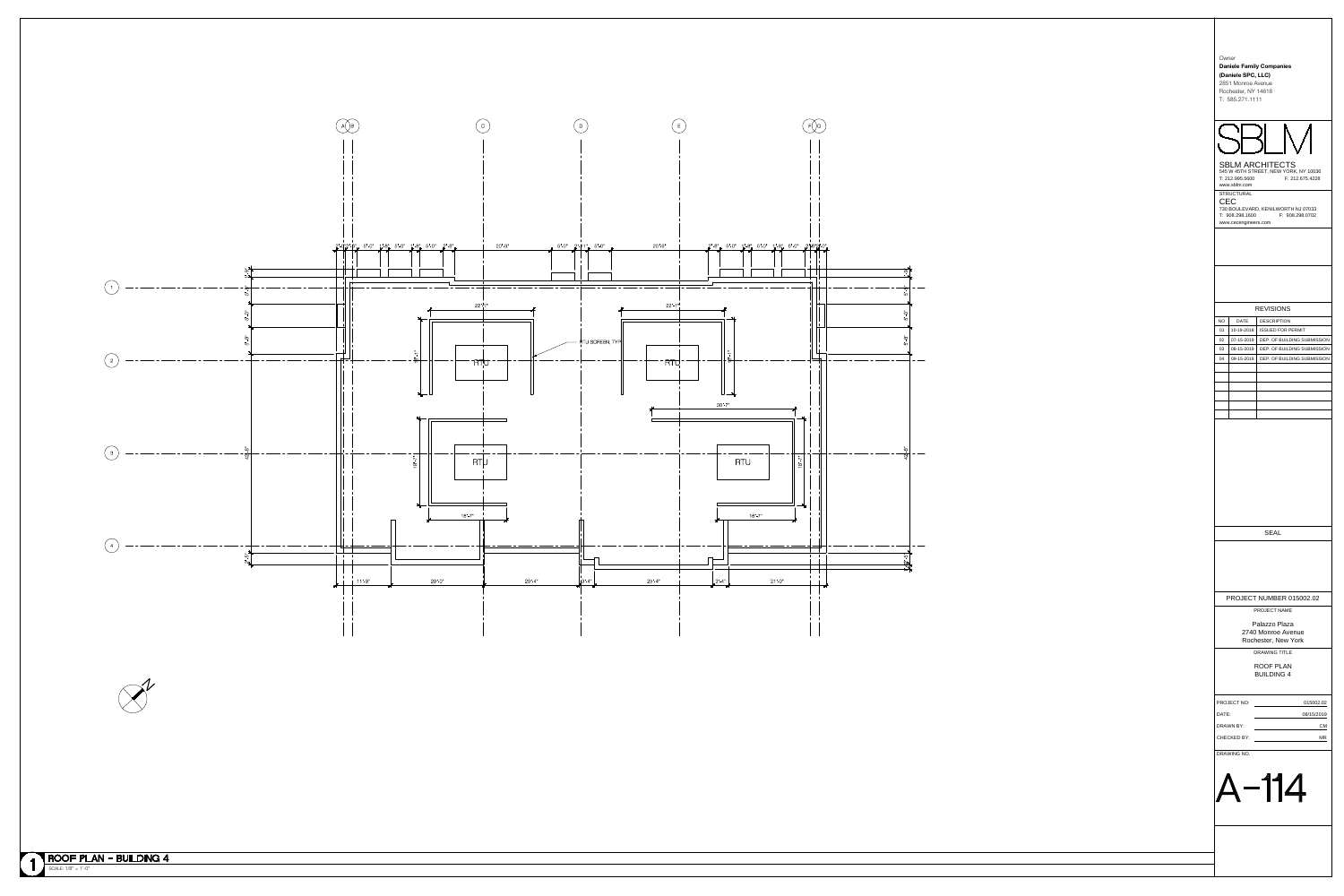| Owner<br>(Daniele SPC, LLC)<br>2851 Monroe Avenue<br>Rochester, NY 14618<br>T: 585.271.1111 |                          | <b>Daniele Family Companies</b>                                 |                             |  |  |
|---------------------------------------------------------------------------------------------|--------------------------|-----------------------------------------------------------------|-----------------------------|--|--|
|                                                                                             |                          |                                                                 |                             |  |  |
|                                                                                             |                          |                                                                 |                             |  |  |
| T: 212.995.5600                                                                             |                          | <b>SBLM ARCHITECTS</b><br>545 W 45TH STREET, NEW YORK, NY 10036 | F: 212.675.4228             |  |  |
| www.sblm.com<br><b>STRUCTURAL</b><br>CEC<br>T: 908.298.1600<br>www.cecengineers.com         |                          | 730 BOULEVARD, KENILWORTH NJ 07033<br>F: 908.298.0702           |                             |  |  |
|                                                                                             |                          |                                                                 |                             |  |  |
|                                                                                             |                          |                                                                 |                             |  |  |
|                                                                                             |                          | <b>REVISIONS</b>                                                |                             |  |  |
| <b>NO</b>                                                                                   | <b>DATE</b>              | <b>DESCRIPTION</b>                                              |                             |  |  |
| 01<br>02                                                                                    | 10-19-2018<br>07-15-2019 | <b>ISSUED FOR PERMIT</b>                                        | DEP. OF BUILDING SUBMISSION |  |  |
| 03                                                                                          | 08-15-2019               |                                                                 | DEP. OF BUILDING SUBMISSION |  |  |
| 04                                                                                          | 09-15-2019               |                                                                 | DEP. OF BUILDING SUBMISSION |  |  |
|                                                                                             |                          |                                                                 |                             |  |  |
|                                                                                             |                          |                                                                 |                             |  |  |
|                                                                                             |                          |                                                                 |                             |  |  |
|                                                                                             |                          |                                                                 |                             |  |  |
|                                                                                             |                          |                                                                 |                             |  |  |
|                                                                                             |                          |                                                                 |                             |  |  |
|                                                                                             |                          |                                                                 |                             |  |  |
|                                                                                             |                          |                                                                 |                             |  |  |
|                                                                                             |                          |                                                                 |                             |  |  |
|                                                                                             |                          |                                                                 |                             |  |  |
|                                                                                             |                          |                                                                 |                             |  |  |
|                                                                                             |                          | <b>SEAL</b>                                                     |                             |  |  |
|                                                                                             |                          |                                                                 |                             |  |  |
|                                                                                             |                          |                                                                 |                             |  |  |
|                                                                                             |                          |                                                                 |                             |  |  |
|                                                                                             |                          |                                                                 |                             |  |  |
|                                                                                             |                          | PROJECT NUMBER 015002.02                                        |                             |  |  |
|                                                                                             |                          | <b>PROJECT NAME</b>                                             |                             |  |  |
|                                                                                             |                          | Palazzo Plaza                                                   |                             |  |  |
| 2740 Monroe Avenue<br>Rochester, New York                                                   |                          |                                                                 |                             |  |  |
|                                                                                             |                          | <b>DRAWING TITLE</b>                                            |                             |  |  |
|                                                                                             |                          | <b>ROOF PLAN</b>                                                |                             |  |  |
|                                                                                             |                          | <b>BUILDING 4</b>                                               |                             |  |  |
| PROJECT NO:                                                                                 |                          |                                                                 | 015002.02                   |  |  |
| DATE:                                                                                       |                          |                                                                 | 08/15/2019                  |  |  |
| <b>DRAWN BY:</b><br><b>CHECKED BY:</b>                                                      |                          |                                                                 | <u>СМ</u><br>ΜR             |  |  |
|                                                                                             |                          |                                                                 |                             |  |  |
| DRAWING NO.                                                                                 |                          |                                                                 |                             |  |  |
|                                                                                             |                          |                                                                 |                             |  |  |
|                                                                                             | -114                     |                                                                 |                             |  |  |
|                                                                                             |                          |                                                                 |                             |  |  |
|                                                                                             |                          |                                                                 |                             |  |  |
|                                                                                             |                          |                                                                 |                             |  |  |
|                                                                                             |                          |                                                                 |                             |  |  |